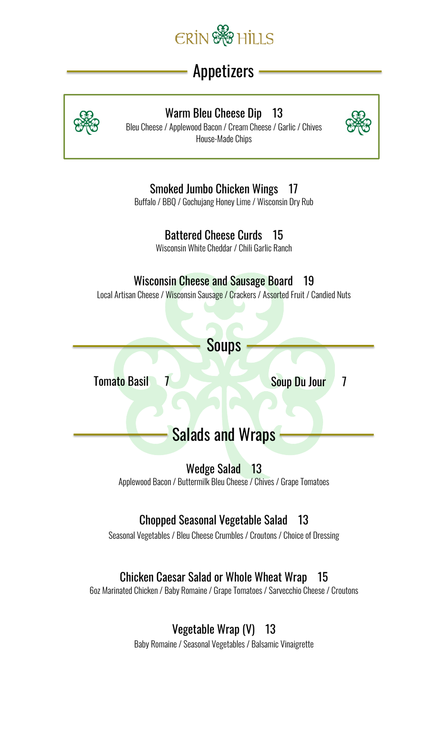

# Appetizers



#### Warm Bleu Cheese Dip 13

Bleu Cheese / Applewood Bacon / Cream Cheese / Garlic / Chives House-Made Chips



### Smoked Jumbo Chicken Wings 17

Buffalo / BBQ / Gochujang Honey Lime / Wisconsin Dry Rub

### Battered Cheese Curds 15

Wisconsin White Cheddar / Chili Garlic Ranch

### Wisconsin Cheese and Sausage Board 19

Local Artisan Cheese / Wisconsin Sausage / Crackers / Assorted Fruit / Candied Nuts

# Soups

Tomato Basil 7 Soup Du Jour 7

# **Salads and Wraps**

Wedge Salad 13

Applewood Bacon / Buttermilk Bleu Cheese / Chives / Grape Tomatoes

### Chopped Seasonal Vegetable Salad 13

Seasonal Vegetables / Bleu Cheese Crumbles / Croutons / Choice of Dressing

### Chicken Caesar Salad or Whole Wheat Wrap 15

6oz Marinated Chicken / Baby Romaine / Grape Tomatoes / Sarvecchio Cheese / Croutons

### Vegetable Wrap (V) 13

Baby Romaine / Seasonal Vegetables / Balsamic Vinaigrette